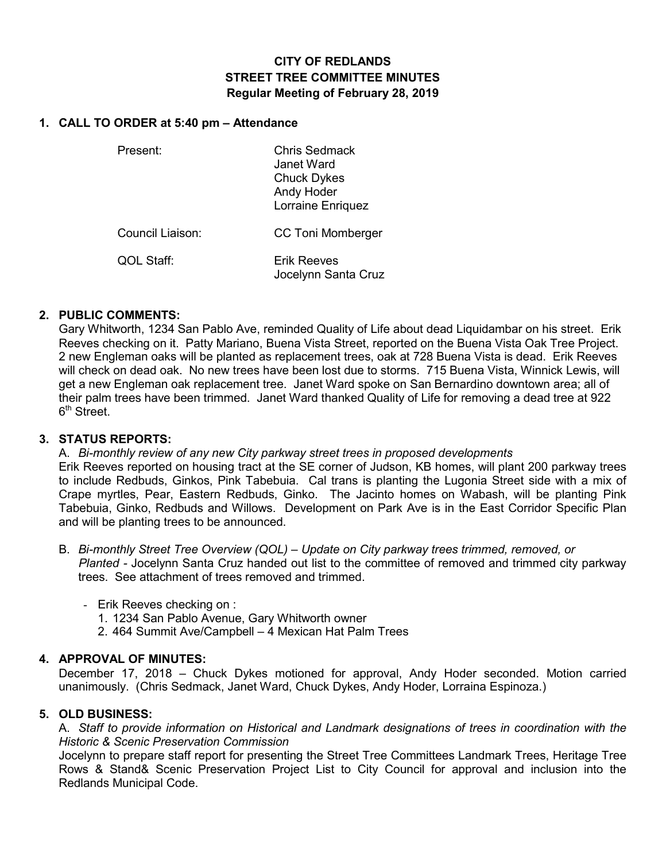# **CITY OF REDLANDS STREET TREE COMMITTEE MINUTES Regular Meeting of February 28, 2019**

### **1. CALL TO ORDER at 5:40 pm – Attendance**

Present: Chris Sedmack Janet Ward Chuck Dykes Andy Hoder Lorraine Enriquez

Council Liaison: CC Toni Momberger

QOL Staff: Erik Reeves Jocelynn Santa Cruz

## **2. PUBLIC COMMENTS:**

Gary Whitworth, 1234 San Pablo Ave, reminded Quality of Life about dead Liquidambar on his street. Erik Reeves checking on it. Patty Mariano, Buena Vista Street, reported on the Buena Vista Oak Tree Project. 2 new Engleman oaks will be planted as replacement trees, oak at 728 Buena Vista is dead. Erik Reeves will check on dead oak. No new trees have been lost due to storms. 715 Buena Vista, Winnick Lewis, will get a new Engleman oak replacement tree. Janet Ward spoke on San Bernardino downtown area; all of their palm trees have been trimmed. Janet Ward thanked Quality of Life for removing a dead tree at 922 6<sup>th</sup> Street.

### **3. STATUS REPORTS:**

A. *Bi-monthly review of any new City parkway street trees in proposed developments* Erik Reeves reported on housing tract at the SE corner of Judson, KB homes, will plant 200 parkway trees to include Redbuds, Ginkos, Pink Tabebuia. Cal trans is planting the Lugonia Street side with a mix of Crape myrtles, Pear, Eastern Redbuds, Ginko. The Jacinto homes on Wabash, will be planting Pink Tabebuia, Ginko, Redbuds and Willows. Development on Park Ave is in the East Corridor Specific Plan and will be planting trees to be announced.

B. *Bi-monthly Street Tree Overview (QOL) – Update on City parkway trees trimmed, removed, or Planted -* Jocelynn Santa Cruz handed out list to the committee of removed and trimmed city parkway trees. See attachment of trees removed and trimmed.

- Erik Reeves checking on :
	- 1. 1234 San Pablo Avenue, Gary Whitworth owner
	- 2. 464 Summit Ave/Campbell 4 Mexican Hat Palm Trees

## **4. APPROVAL OF MINUTES:**

December 17, 2018 – Chuck Dykes motioned for approval, Andy Hoder seconded. Motion carried unanimously. (Chris Sedmack, Janet Ward, Chuck Dykes, Andy Hoder, Lorraina Espinoza.)

### **5. OLD BUSINESS:**

A. *Staff to provide information on Historical and Landmark designations of trees in coordination with the Historic & Scenic Preservation Commission*

Jocelynn to prepare staff report for presenting the Street Tree Committees Landmark Trees, Heritage Tree Rows & Stand& Scenic Preservation Project List to City Council for approval and inclusion into the Redlands Municipal Code.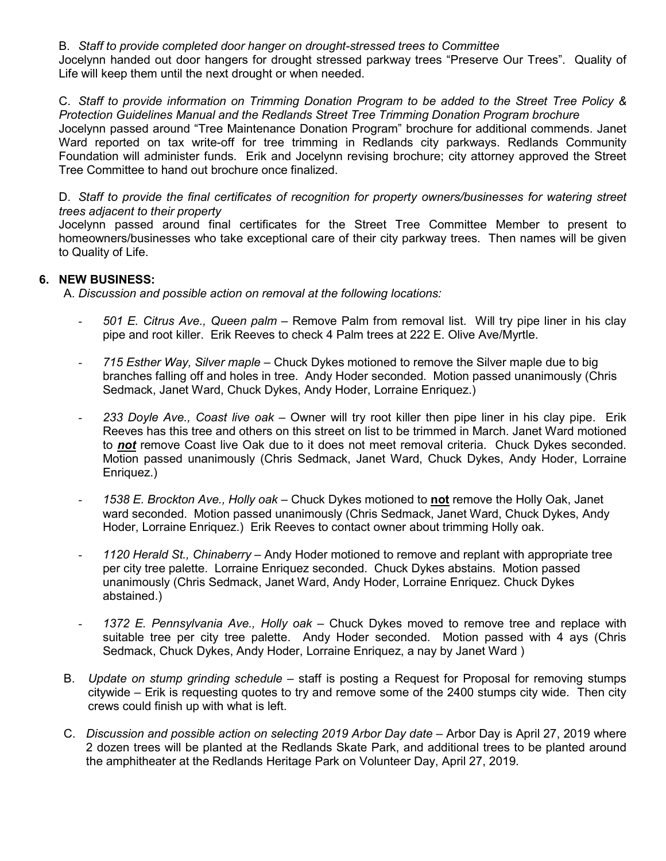B. *Staff to provide completed door hanger on drought-stressed trees to Committee*

Jocelynn handed out door hangers for drought stressed parkway trees "Preserve Our Trees". Quality of Life will keep them until the next drought or when needed.

C. *Staff to provide information on Trimming Donation Program to be added to the Street Tree Policy & Protection Guidelines Manual and the Redlands Street Tree Trimming Donation Program brochure*

Jocelynn passed around "Tree Maintenance Donation Program" brochure for additional commends. Janet Ward reported on tax write-off for tree trimming in Redlands city parkways. Redlands Community Foundation will administer funds. Erik and Jocelynn revising brochure; city attorney approved the Street Tree Committee to hand out brochure once finalized.

D. Staff to provide the final certificates of recognition for property owners/businesses for watering street *trees adjacent to their property*

Jocelynn passed around final certificates for the Street Tree Committee Member to present to homeowners/businesses who take exceptional care of their city parkway trees. Then names will be given to Quality of Life.

### **6. NEW BUSINESS:**

A. *Discussion and possible action on removal at the following locations:*

- *501 E. Citrus Ave., Queen palm –* Remove Palm from removal list. Will try pipe liner in his clay pipe and root killer. Erik Reeves to check 4 Palm trees at 222 E. Olive Ave/Myrtle.
- *715 Esther Way, Silver maple –* Chuck Dykes motioned to remove the Silver maple due to big branches falling off and holes in tree. Andy Hoder seconded. Motion passed unanimously (Chris Sedmack, Janet Ward, Chuck Dykes, Andy Hoder, Lorraine Enriquez.)
- *233 Doyle Ave., Coast live oak* Owner will try root killer then pipe liner in his clay pipe. Erik Reeves has this tree and others on this street on list to be trimmed in March. Janet Ward motioned to *not* remove Coast live Oak due to it does not meet removal criteria. Chuck Dykes seconded. Motion passed unanimously (Chris Sedmack, Janet Ward, Chuck Dykes, Andy Hoder, Lorraine Enriquez.)
- *1538 E. Brockton Ave., Holly oak* Chuck Dykes motioned to **not** remove the Holly Oak, Janet ward seconded. Motion passed unanimously (Chris Sedmack, Janet Ward, Chuck Dykes, Andy Hoder, Lorraine Enriquez.) Erik Reeves to contact owner about trimming Holly oak.
- *1120 Herald St., Chinaberry* Andy Hoder motioned to remove and replant with appropriate tree per city tree palette. Lorraine Enriquez seconded. Chuck Dykes abstains. Motion passed unanimously (Chris Sedmack, Janet Ward, Andy Hoder, Lorraine Enriquez. Chuck Dykes abstained.)
- *1372 E. Pennsylvania Ave., Holly oak* Chuck Dykes moved to remove tree and replace with suitable tree per city tree palette. Andy Hoder seconded. Motion passed with 4 ays (Chris Sedmack, Chuck Dykes, Andy Hoder, Lorraine Enriquez, a nay by Janet Ward )
- B. *Update on stump grinding schedule* staff is posting a Request for Proposal for removing stumps citywide – Erik is requesting quotes to try and remove some of the 2400 stumps city wide. Then city crews could finish up with what is left.
- C. *Discussion and possible action on selecting 2019 Arbor Day date –* Arbor Day is April 27, 2019 where 2 dozen trees will be planted at the Redlands Skate Park, and additional trees to be planted around the amphitheater at the Redlands Heritage Park on Volunteer Day, April 27, 2019.